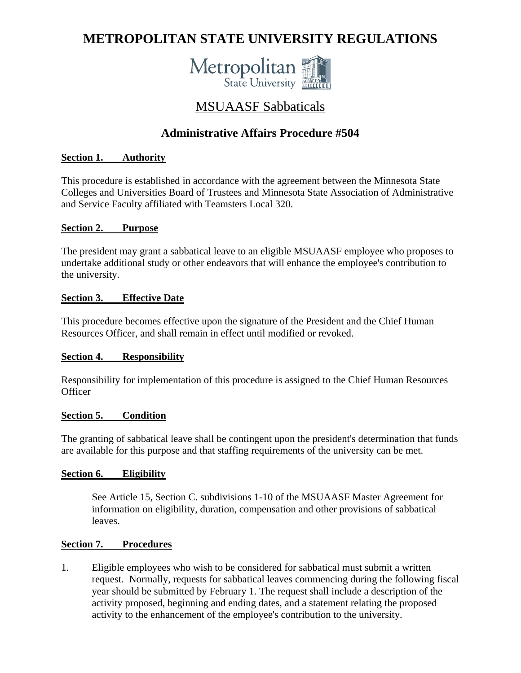# **METROPOLITAN STATE UNIVERSITY REGULATIONS**



# MSUAASF Sabbaticals

# **Administrative Affairs Procedure #504**

# **Section 1. Authority**

This procedure is established in accordance with the agreement between the Minnesota State Colleges and Universities Board of Trustees and Minnesota State Association of Administrative and Service Faculty affiliated with Teamsters Local 320.

#### **Section 2. Purpose**

The president may grant a sabbatical leave to an eligible MSUAASF employee who proposes to undertake additional study or other endeavors that will enhance the employee's contribution to the university.

#### **Section 3. Effective Date**

This procedure becomes effective upon the signature of the President and the Chief Human Resources Officer, and shall remain in effect until modified or revoked.

#### **Section 4. Responsibility**

Responsibility for implementation of this procedure is assigned to the Chief Human Resources **Officer** 

#### **Section 5. Condition**

The granting of sabbatical leave shall be contingent upon the president's determination that funds are available for this purpose and that staffing requirements of the university can be met.

#### **Section 6. Eligibility**

 See Article 15, Section C. subdivisions 1-10 of the MSUAASF Master Agreement for information on eligibility, duration, compensation and other provisions of sabbatical leaves.

#### **Section 7. Procedures**

1. Eligible employees who wish to be considered for sabbatical must submit a written request. Normally, requests for sabbatical leaves commencing during the following fiscal year should be submitted by February 1. The request shall include a description of the activity proposed, beginning and ending dates, and a statement relating the proposed activity to the enhancement of the employee's contribution to the university.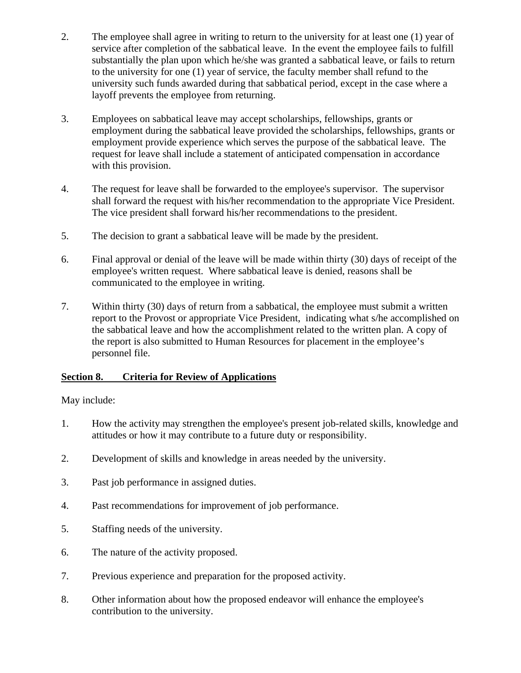- 2. The employee shall agree in writing to return to the university for at least one (1) year of service after completion of the sabbatical leave. In the event the employee fails to fulfill substantially the plan upon which he/she was granted a sabbatical leave, or fails to return to the university for one (1) year of service, the faculty member shall refund to the university such funds awarded during that sabbatical period, except in the case where a layoff prevents the employee from returning.
- 3. Employees on sabbatical leave may accept scholarships, fellowships, grants or employment during the sabbatical leave provided the scholarships, fellowships, grants or employment provide experience which serves the purpose of the sabbatical leave. The request for leave shall include a statement of anticipated compensation in accordance with this provision.
- 4. The request for leave shall be forwarded to the employee's supervisor. The supervisor shall forward the request with his/her recommendation to the appropriate Vice President. The vice president shall forward his/her recommendations to the president.
- 5. The decision to grant a sabbatical leave will be made by the president.
- 6. Final approval or denial of the leave will be made within thirty (30) days of receipt of the employee's written request. Where sabbatical leave is denied, reasons shall be communicated to the employee in writing.
- 7. Within thirty (30) days of return from a sabbatical, the employee must submit a written report to the Provost or appropriate Vice President, indicating what s/he accomplished on the sabbatical leave and how the accomplishment related to the written plan. A copy of the report is also submitted to Human Resources for placement in the employee's personnel file.

## **Section 8. Criteria for Review of Applications**

May include:

- 1. How the activity may strengthen the employee's present job-related skills, knowledge and attitudes or how it may contribute to a future duty or responsibility.
- 2. Development of skills and knowledge in areas needed by the university.
- 3. Past job performance in assigned duties.
- 4. Past recommendations for improvement of job performance.
- 5. Staffing needs of the university.
- 6. The nature of the activity proposed.
- 7. Previous experience and preparation for the proposed activity.
- 8. Other information about how the proposed endeavor will enhance the employee's contribution to the university.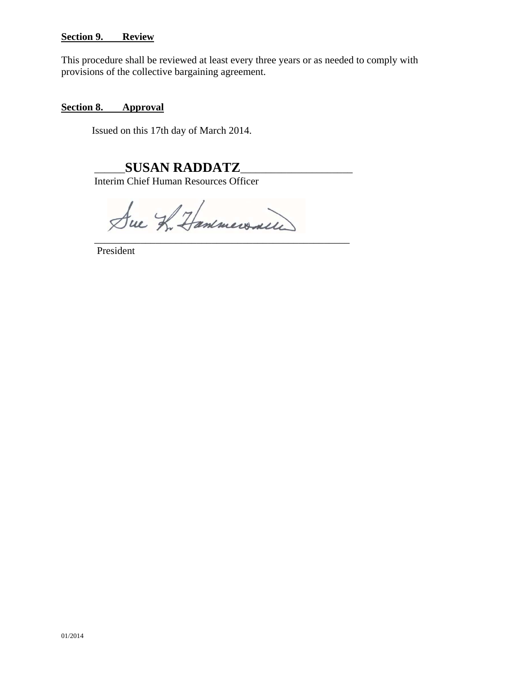#### **Section 9. Review**

This procedure shall be reviewed at least every three years or as needed to comply with provisions of the collective bargaining agreement.

#### **Section 8. Approval**

Issued on this 17th day of March 2014.

# \_\_\_\_\_\_**SUSAN RADDATZ**\_\_\_\_\_\_\_\_\_\_\_\_\_\_\_\_\_\_\_\_\_\_

Interim Chief Human Resources Officer

Sue In Hammersaile \_\_\_\_\_\_\_\_\_\_\_\_\_\_\_\_\_\_\_\_\_\_\_\_\_\_\_\_\_\_\_\_\_\_\_\_\_\_\_\_\_\_\_\_\_\_\_\_\_\_

President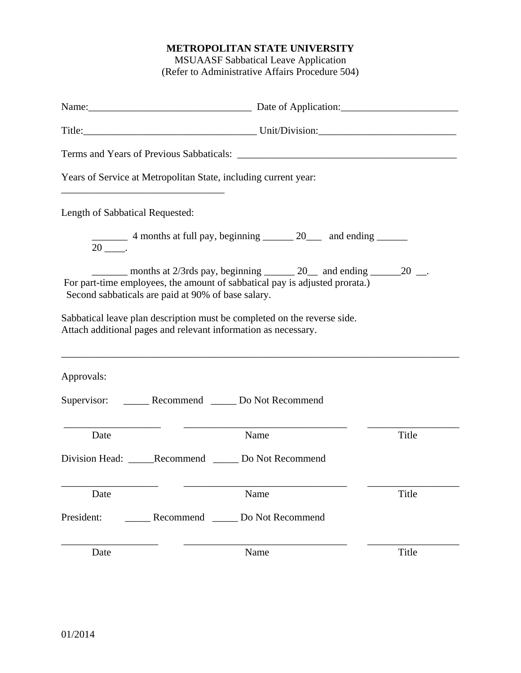# **METROPOLITAN STATE UNIVERSITY**

MSUAASF Sabbatical Leave Application (Refer to Administrative Affairs Procedure 504)

|                                 | Name: Name: Name: Name: Name: Name: Name: Name: Name: Name: Name: Name: Name: Name: Name: Name: Name: Name: Name: Name: Name: Name: Name: Name: Name: Name: Name: Name: Name: Name: Name: Name: Name: Name: Name: Name: Name:     |       |
|---------------------------------|-----------------------------------------------------------------------------------------------------------------------------------------------------------------------------------------------------------------------------------|-------|
|                                 |                                                                                                                                                                                                                                   |       |
|                                 |                                                                                                                                                                                                                                   |       |
|                                 | Years of Service at Metropolitan State, including current year:                                                                                                                                                                   |       |
| Length of Sabbatical Requested: |                                                                                                                                                                                                                                   |       |
|                                 | 4 months at full pay, beginning 20 and ending                                                                                                                                                                                     |       |
|                                 | months at 2/3rds pay, beginning $\_\_\_\_$ 20 $\_\_\$ and ending $\_\_\_\_$ 20 $\_\_\_\_\$ .<br>For part-time employees, the amount of sabbatical pay is adjusted prorata.)<br>Second sabbaticals are paid at 90% of base salary. |       |
|                                 | Sabbatical leave plan description must be completed on the reverse side.<br>Attach additional pages and relevant information as necessary.<br>,我们也不能在这里的时候,我们也不能在这里的时候,我们也不能会在这里的时候,我们也不能会在这里的时候,我们也不能会在这里的时候,我们也不能会在这里的时候,我们也不   |       |
| Approvals:                      |                                                                                                                                                                                                                                   |       |
|                                 | Supervisor: _________ Recommend _______ Do Not Recommend                                                                                                                                                                          |       |
| Date                            | Name                                                                                                                                                                                                                              | Title |
|                                 | Division Head: ______Recommend ________ Do Not Recommend                                                                                                                                                                          |       |
| Date                            | Name                                                                                                                                                                                                                              | Title |
| President:                      | Recommend<br>Do Not Recommend                                                                                                                                                                                                     |       |
| Date                            | Name                                                                                                                                                                                                                              | Title |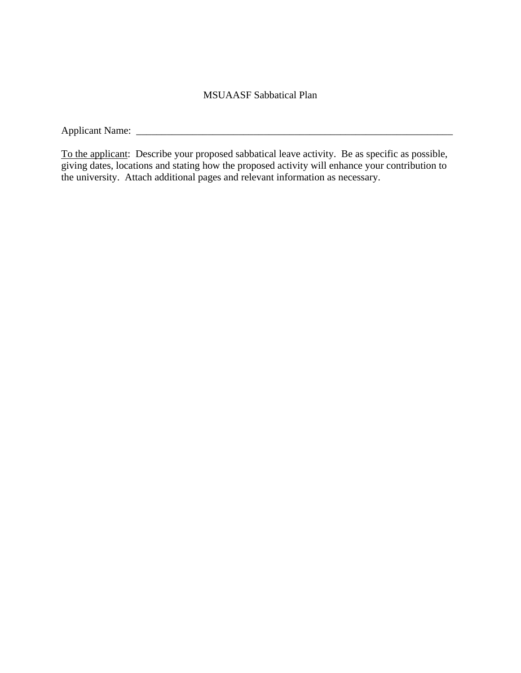## MSUAASF Sabbatical Plan

Applicant Name: \_\_\_\_\_\_\_\_\_\_\_\_\_\_\_\_\_\_\_\_\_\_\_\_\_\_\_\_\_\_\_\_\_\_\_\_\_\_\_\_\_\_\_\_\_\_\_\_\_\_\_\_\_\_\_\_\_\_\_\_\_\_

To the applicant: Describe your proposed sabbatical leave activity. Be as specific as possible, giving dates, locations and stating how the proposed activity will enhance your contribution to the university. Attach additional pages and relevant information as necessary.